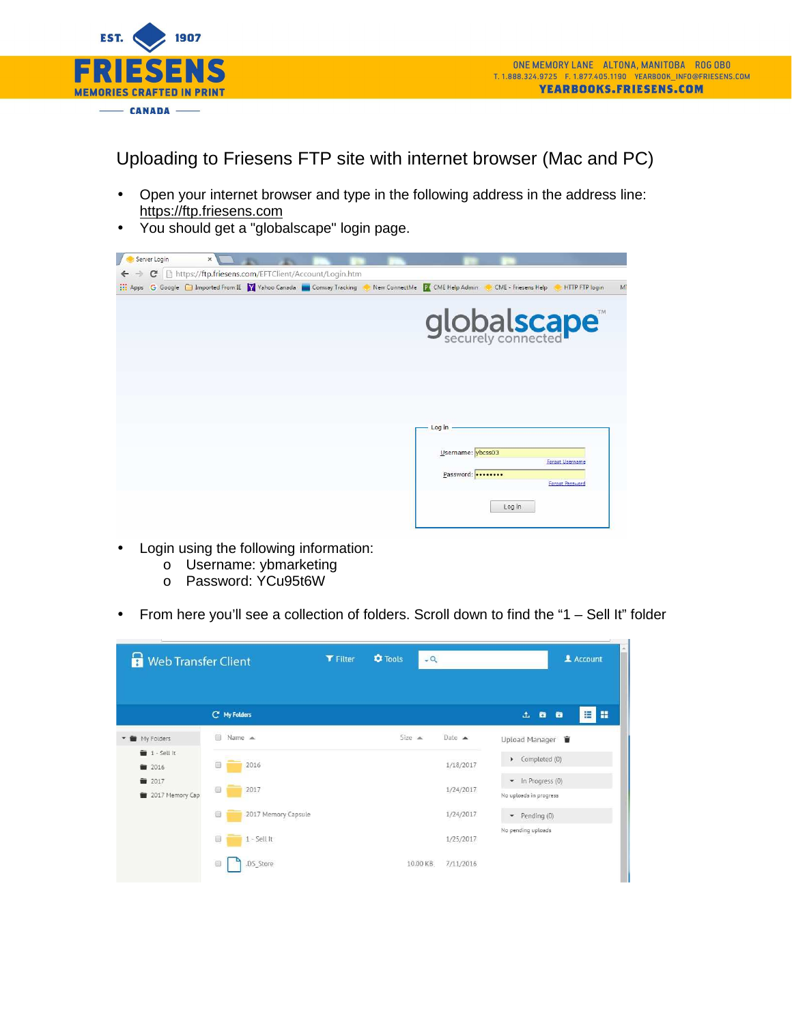

Uploading to Friesens FTP site with internet browser (Mac and PC)

- Open your internet browser and type in the following address in the address line: https://ftp.friesens.com
- You should get a "globalscape" login page.

| Server Login               | $\times$ \                                                                                                       |  |                   |                     |                       |                |
|----------------------------|------------------------------------------------------------------------------------------------------------------|--|-------------------|---------------------|-----------------------|----------------|
| $\leftarrow$ $\rightarrow$ | C   https://ftp.friesens.com/EFTClient/Account/Login.htm                                                         |  |                   |                     |                       |                |
|                            | <b>ELE Apps</b> G Google <b>C</b> Imported From IE Y Vahoo Canada Conway Tracking New ConnectMe X CME Help Admin |  |                   | CME - Friesens Help | <b>HTTP FTP login</b> | M <sup>7</sup> |
|                            |                                                                                                                  |  |                   | globalscape         |                       |                |
|                            |                                                                                                                  |  |                   |                     |                       |                |
|                            |                                                                                                                  |  | Log in -          |                     |                       |                |
|                            |                                                                                                                  |  | Username: vbcss03 |                     | Forgot Username       |                |
|                            |                                                                                                                  |  | Password:         |                     | Forgot Password       |                |
|                            |                                                                                                                  |  |                   | Log in              |                       |                |
|                            |                                                                                                                  |  |                   |                     |                       |                |

- Login using the following information:
	- o Username: ybmarketing
	- o Password: YCu95t6W
- From here you'll see a collection of folders. Scroll down to find the "1 Sell It" folder

| <b>Web Transfer Client</b><br>Ħ      |                                 | <b>Y</b> Filter | <b>C</b> Tools<br>$-Q$ |           | 2 Account                                   |
|--------------------------------------|---------------------------------|-----------------|------------------------|-----------|---------------------------------------------|
|                                      | C' My Folders                   |                 |                        |           | $\mathbf{L}$<br>E<br>晋<br>$\bullet$<br>ø    |
| My Folders<br>÷.                     | ■ Name ▲                        |                 | Size A                 | Date A    | Upload Manager                              |
| $\blacksquare$ 1 - Sell It<br>图 2016 | 2016                            |                 |                        | 1/18/2017 | Completed (0)                               |
| ■ 2017<br><b>1</b> 2017 Memory Cap   | 信<br>2017                       |                 |                        | 1/24/2017 | • In Progress (0)<br>No uploads in progress |
|                                      | 2017 Memory Capsule<br><b>U</b> |                 |                        | 1/24/2017 | $\bullet$ Pending (0)                       |
|                                      | $\Box$<br>$1 - Sell It$         |                 |                        | 1/25/2017 | No pending uploads                          |
|                                      | .DS_Store<br>自                  |                 | 10.00 KB               | 7/11/2016 |                                             |